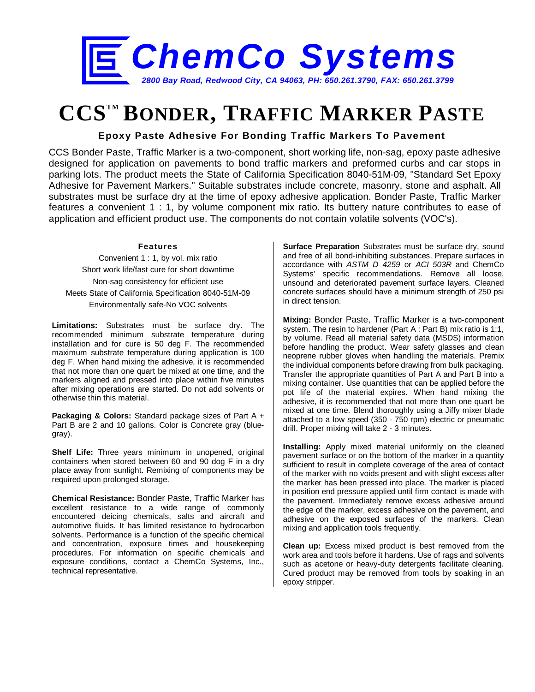

## **CCSTM BONDER, TRAFFIC MARKER PASTE**

**Epoxy Paste Adhesive For Bonding Traffic Markers To Pavement**

CCS Bonder Paste, Traffic Marker is a two-component, short working life, non-sag, epoxy paste adhesive designed for application on pavements to bond traffic markers and preformed curbs and car stops in parking lots. The product meets the State of California Specification 8040-51M-09, "Standard Set Epoxy Adhesive for Pavement Markers." Suitable substrates include concrete, masonry, stone and asphalt. All substrates must be surface dry at the time of epoxy adhesive application. Bonder Paste, Traffic Marker features a convenient 1 : 1, by volume component mix ratio. Its buttery nature contributes to ease of application and efficient product use. The components do not contain volatile solvents (VOC's).

## **Features**

Convenient 1 : 1, by vol. mix ratio Short work life/fast cure for short downtime Non-sag consistency for efficient use Meets State of California Specification 8040-51M-09 Environmentally safe-No VOC solvents

**Limitations:** Substrates must be surface dry. The recommended minimum substrate temperature during installation and for cure is 50 deg F. The recommended maximum substrate temperature during application is 100 deg F. When hand mixing the adhesive, it is recommended that not more than one quart be mixed at one time, and the markers aligned and pressed into place within five minutes after mixing operations are started. Do not add solvents or otherwise thin this material.

**Packaging & Colors:** Standard package sizes of Part A + Part B are 2 and 10 gallons. Color is Concrete gray (bluegray).

**Shelf Life:** Three years minimum in unopened, original containers when stored between 60 and 90 dog F in a dry place away from sunlight. Remixing of components may be required upon prolonged storage.

**Chemical Resistance:** Bonder Paste, Traffic Marker has excellent resistance to a wide range of commonly encountered deicing chemicals, salts and aircraft and automotive fluids. It has limited resistance to hydrocarbon solvents. Performance is a function of the specific chemical and concentration, exposure times and housekeeping procedures. For information on specific chemicals and exposure conditions, contact a ChemCo Systems, Inc., technical representative.

**Surface Preparation** Substrates must be surface dry, sound and free of all bond-inhibiting substances. Prepare surfaces in accordance with *ASTM D 4259* or *ACI 503R* and ChemCo Systems' specific recommendations. Remove all loose, unsound and deteriorated pavement surface layers. Cleaned concrete surfaces should have a minimum strength of 250 psi in direct tension.

**Mixing:** Bonder Paste, Traffic Marker is a two-component system. The resin to hardener (Part A : Part B) mix ratio is 1:1, by volume. Read all material safety data (MSDS) information before handling the product. Wear safety glasses and clean neoprene rubber gloves when handling the materials. Premix the individual components before drawing from bulk packaging. Transfer the appropriate quantities of Part A and Part B into a mixing container. Use quantities that can be applied before the pot life of the material expires. When hand mixing the adhesive, it is recommended that not more than one quart be mixed at one time. Blend thoroughly using a Jiffy mixer blade attached to a low speed (350 - 750 rpm) electric or pneumatic drill. Proper mixing will take 2 - 3 minutes.

**Installing:** Apply mixed material uniformly on the cleaned pavement surface or on the bottom of the marker in a quantity sufficient to result in complete coverage of the area of contact of the marker with no voids present and with slight excess after the marker has been pressed into place. The marker is placed in position end pressure applied until firm contact is made with the pavement. Immediately remove excess adhesive around the edge of the marker, excess adhesive on the pavement, and adhesive on the exposed surfaces of the markers. Clean mixing and application tools frequently.

**Clean up:** Excess mixed product is best removed from the work area and tools before it hardens. Use of rags and solvents such as acetone or heavy-duty detergents facilitate cleaning. Cured product may be removed from tools by soaking in an epoxy stripper.